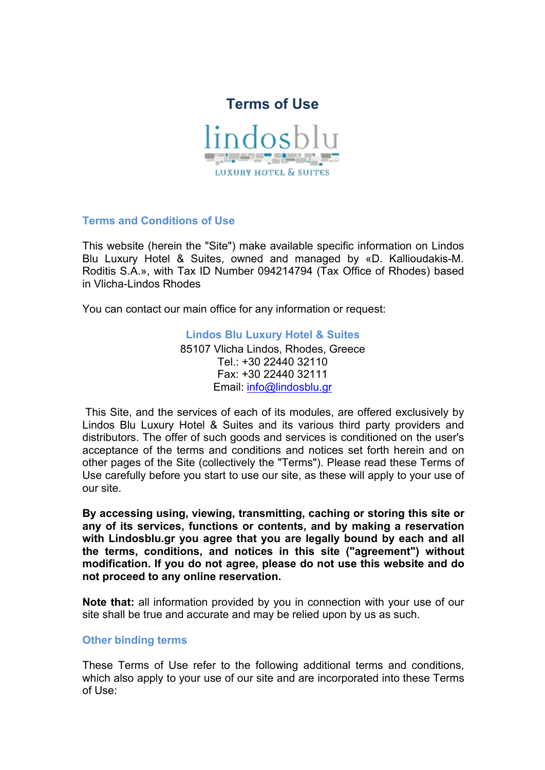



**Terms and Conditions of Use**

This website (herein the "Site") make available specific information on Lindos Blu Luxury Hotel & Suites, owned and managed by «D. Kallioudakis-M. Roditis S.A.», with Τax ID Number 094214794 (Tax Office of Rhodes) based in Vlicha-Lindos Rhodes

You can contact our main office for any information or request:

**Lindos Blu Luxury Hotel & Suites** 85107 Vlicha Lindos, Rhodes, Greece Tel.: +30 22440 32110 Fax: +30 22440 32111 Email: [info@lindosblu.gr](mailto:info@lindosblu.gr?subject=Message%20from%20LindosBlu.gr)

This Site, and the services of each of its modules, are offered exclusively by Lindos Blu Luxury Hotel& Suites and its various third party providers and distributors. The offer of such goods and services is conditioned on the user's acceptance of the terms and conditions and notices set forth herein and on other pages of the Site (collectively the "Terms"). Please read these Terms of Use carefully before you start to use our site, as these will apply to your use of our site.

**By accessing using, viewing, transmitting, caching or storing this site or any of its services, functions or contents, and by making a reservation with Lindosblu.gr you agree that you are legally bound by each and all the terms, conditions, and notices in this site ("agreement") without modification. If you do not agree, please do not use this website and do not proceed to any online reservation.**

**Note that:** all information provided by you in connection with your use of our site shall be true and accurate and may be relied upon by us as such.

# **Other binding terms**

These Terms of Use refer to the following additional terms and conditions, which also apply to your use of our site and are incorporated into these Terms of Use: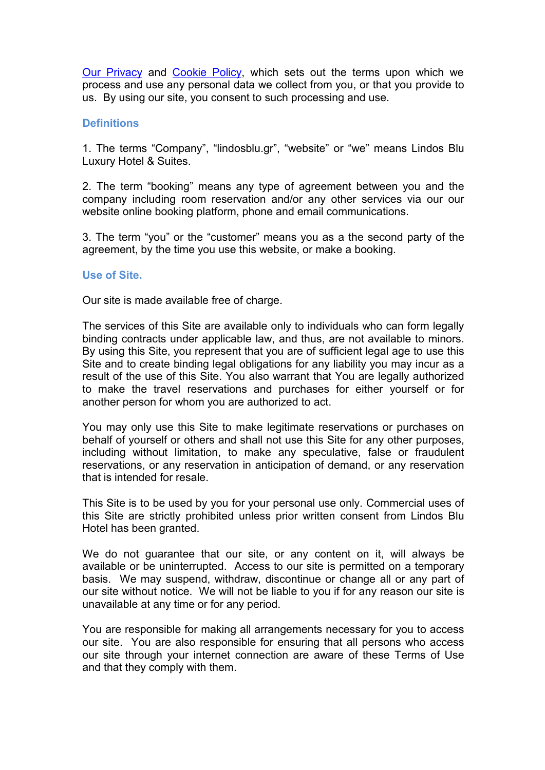Our [Privacy](https://lindosblu.gr/privacy-notice.pdf) and [Cookie](https://lindosblu.gr/cookie-policy.pdf) Policy, which sets out the terms upon which we process and use any personal data we collect from you, or that you provide to us. By using our site, you consent to such processing and use.

# **Definitions**

1. The terms "Company", "lindosblu.gr", "website" or "we" means Lindos Blu Luxury Hotel & Suites.

2. The term "booking" means any type of agreement between you and the company including room reservation and/or any other services via our our website online booking platform, phone and email communications.

3. The term "you" or the "customer" means you as a the second party of the agreement, by the time you use this website, or make a booking.

#### **Use of Site.**

Our site is made available free of charge.

The services of this Site are available only to individuals who can form legally binding contracts under applicable law, and thus, are not available to minors. By using this Site, you represent that you are of sufficient legal age to use this Site and to create binding legal obligations for any liability you may incur as a result of the use of this Site. You also warrant that You are legally authorized to make the travel reservations and purchases for either yourself or for another person for whom you are authorized to act.

You may only use this Site to make legitimate reservations or purchases on behalf of yourself or others and shall not use this Site for any other purposes, including without limitation, to make any speculative, false or fraudulent reservations, or any reservation in anticipation of demand, or any reservation that is intended for resale.

This Site is to be used by you for your personal use only. Commercial uses of this Site are strictly prohibited unless prior written consent from Lindos Blu Hotel has been granted.

We do not guarantee that our site, or any content on it, will always be available or be uninterrupted. Access to our site is permitted on a temporary basis. We may suspend, withdraw, discontinue or change all or any part of our site without notice. We will not be liable to you if forany reason our site is unavailable at any time or for any period.

You are responsible for making all arrangements necessary for you to access our site. You are also responsible for ensuring that all persons who access our site through your internet connection are aware of these Terms of Use and that they comply with them.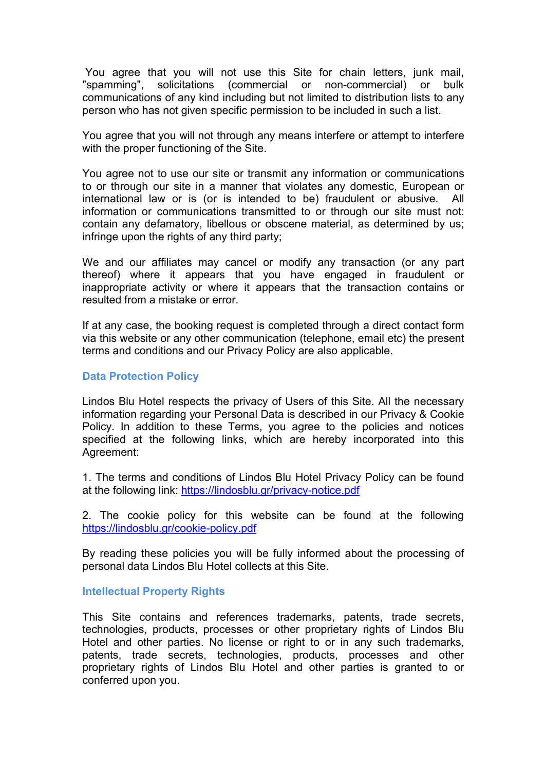You agree that you will not use this Site for chain letters, junk mail, "spamming", solicitations (commercial or non-commercial) or bulk communications of any kind including but not limited to distribution lists to any person who has not given specific permission to be included in such a list.

You agree that you will not through any means interfere or attempt to interfere with the proper functioning of the Site.

You agree not to use our site or transmit any information or communications to or through our site in a manner that violates any domestic, European or international law or is (or is intended to be) fraudulent or abusive. All information or communications transmitted to or through our site must not: contain any defamatory, libellous or obscene material, as determined by us; infringe upon the rights of any third party;

We and our affiliates may cancel or modify any transaction (or any part thereof) where it appears that you have engaged in fraudulent or inappropriate activity or where it appears that the transaction contains or resulted from a mistake or error.

If at any case, the booking request is completed through a direct contact form via this website or any other communication (telephone,email etc) the present terms and conditions and our Privacy Policy are also applicable.

## **Data Protection Policy**

Lindos Blu Hotel respects the privacy of Users of this Site. All the necessary information regarding your Personal Data is described in our Privacy & Cookie Policy. In addition to these Terms, you agree to the policies and notices specified at the following links, which are hereby incorporated into this Agreement:

1. The terms and conditions of Lindos Blu Hotel Privacy Policy can be found at the following link: <https://lindosblu.gr/privacy-notice.pdf>

2. The cookie policy for this website can be found at the following <https://lindosblu.gr/cookie-policy.pdf>

By reading these policies you will be fully informed about the processing of personal data Lindos Blu Hotel collects at this Site.

## **Intellectual Property Rights**

This Site contains and references trademarks, patents, trade secrets, technologies, products, processes or other proprietary rights of Lindos Blu Hotel and other parties. No license or right to or in any such trademarks, patents, trade secrets, technologies, products, processes and other proprietary rights of Lindos Blu Hotel and other parties is granted to or conferred upon you.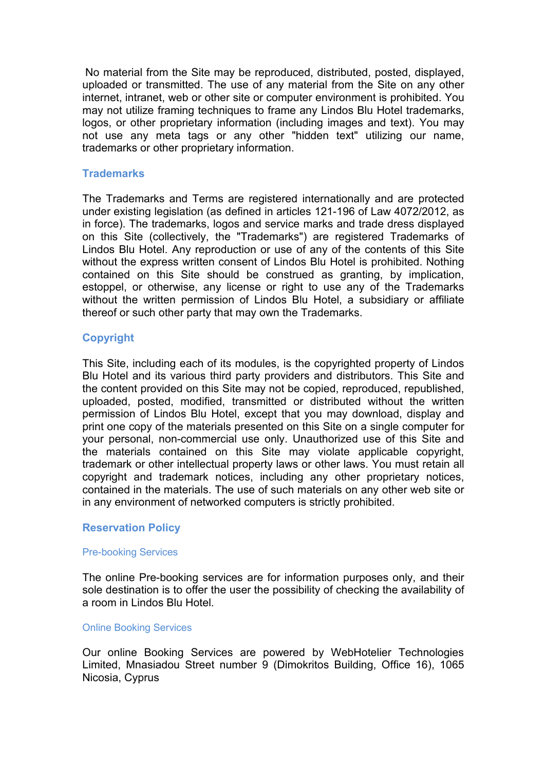No material from the Site may be reproduced, distributed, posted, displayed, uploaded or transmitted. The use of any material from the Site on any other internet, intranet, web or other site or computer environment is prohibited. You may not utilize framing techniques to frame any Lindos Blu Hotel trademarks, logos, or other proprietary information (including images and text). You may not use any meta tags or any other "hidden text" utilizing our name, trademarks or other proprietary information.

## **Trademarks**

The Trademarks and Terms are registered internationally and are protected under existing legislation (as defined in articles 121-196 of Law 4072/2012, as in force). The trademarks, logos and service marks and trade dress displayed on this Site (collectively, the "Trademarks") are registered Trademarks of Lindos Blu Hotel. Any reproduction or use of any of the contents of this Site without the express written consent of Lindos Blu Hotel is prohibited. Nothing contained on this Site should be construed as granting, by implication, estoppel, or otherwise, any license or right to use any of the Trademarks without the written permission of Lindos Blu Hotel, a subsidiary or affiliate thereof or such other party that may own the Trademarks.

# **Copyright**

This Site, including each of its modules, is the copyrighted property of Lindos Blu Hotel and its various third party providers and distributors. This Site and the content provided on this Site may not be copied, reproduced, republished, uploaded, posted, modified, transmitted or distributed without the written permission of Lindos Blu Hotel, except that you may download, display and print one copy of the materials presented on this Site on a single computer for your personal, non-commercial use only. Unauthorized use of this Site and the materials contained on this Site may violate applicable copyright, trademark or other intellectual property laws or other laws. You must retain all copyright and trademark notices, including any other proprietary notices, contained in the materials. The use of such materials on any other web site or in any environment of networked computers is strictly prohibited.

# **Reservation Policy**

### Pre-booking Services

The online Pre-booking services are for information purposes only, and their sole destination is to offer the user the possibility of checking the availability of a room in Lindos Blu Hotel.

### Online Booking Services

Our online Booking Services are powered by WebHotelier Technologies Limited, Mnasiadou Street number 9 (Dimokritos Building, Office 16), 1065 Nicosia, Cyprus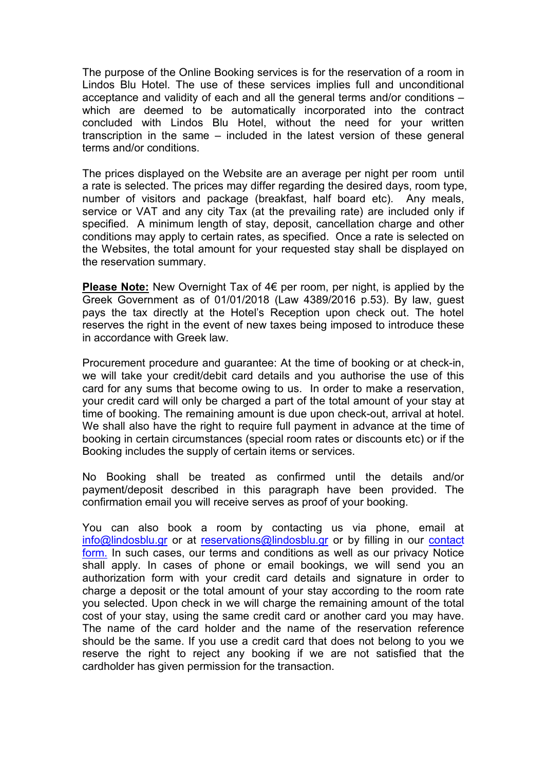The purpose of the Online Booking services is for the reservation of a room in Lindos Blu Hotel. The use of these services implies full and unconditional acceptance and validity of each and all the general terms and/or conditions – which are deemed to be automatically incorporated into the contract concluded with Lindos Blu Hotel, without the need for your written transcription in the same – included in the latest version of these general terms and/or conditions.

The prices displayed on the Website are an average per night per room until a rate is selected.Τhe prices may differ regarding the desired days, room type, number of visitors and package (breakfast, half board etc). Any meals, service or VAT and any city Tax (at the prevailing rate) are included only if specified. A minimum length of stay, deposit, cancellation charge and other conditions may apply to certain rates, as specified. Once a rate is selected on the Websites, the total amount for your requested stay shall be displayed on the reservation summary.

**Please Note:** New Overnight Tax of 4€ per room, per night, is applied by the Greek Government as of 01/01/2018 (Law 4389/2016 p.53). By law, guest pays the tax directly at the Hotel's Reception upon check out. The hotel reserves the right in the event of new taxes being imposed to introduce these in accordance with Greek law.

Procurement procedure and guarantee: At the time of booking or at check-in, we will take your credit/debit card details and you authorise the use of this card for any sums that become owing to us. In order to make a reservation, your credit card will only be charged a part of the total amount of your stay at time of booking. The remaining amount is due upon check-out, arrival at hotel. We shall also have the right to require full payment in advance at the time of booking in certain circumstances (special room rates or discounts etc) or if the Booking includes the supply of certain items or services.

No Booking shall be treated as confirmed until the details and/or payment/deposit described in this paragraph have been provided. The confirmation email you will receive serves as proof of your booking.

You can also book a room by contacting us via phone, email at [info@lindosblu.gr](mailto:info@lindosblu.gr?subject=Message%20from%20LindosBlu.gr) or at [reservations@lindosblu.gr](mailto:reservations@lindosblu.gr) or by filling in our [contact](https://lindosblu.gr/contact.php) form. In such cases, our terms and conditions as well as our privacy Notice shall apply. In cases of phone or email bookings, we will send you an authorization form with your credit card details and signature in order to charge a deposit or the total amount of your stay according to the room rate you selected. Upon check in we will charge the remaining amount of the total cost of your stay, using the same credit card or another card you may have. The name of the card holder and the name of the reservation reference should be the same. If you use a credit card that does not belong to you we reserve the right to reject any booking if we are not satisfied that the cardholder has given permission for the transaction.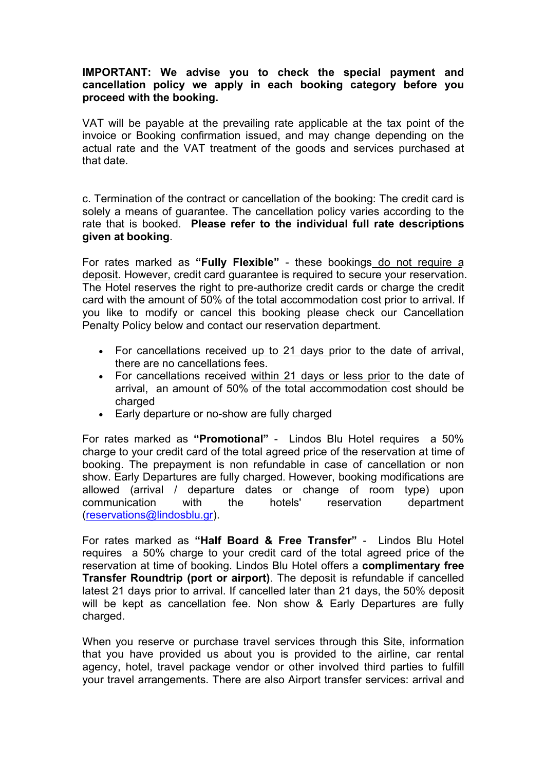# **IMPORTANT: We advise you to check the special payment and cancellation policy we apply in each booking category before you proceed with the booking.**

VAT will be payable at the prevailing rate applicable at the tax point of the invoice or Booking confirmation issued, and may change depending on the actual rate and the VAT treatment of the goods and services purchased at that date.

c. Termination of the contract or cancellation of the booking: The credit card is solely a means of guarantee. The cancellation policy varies according to the rate that is booked. **Please refer to the individual full rate descriptions given at booking**.

For rates marked as **"Fully Flexible"** - these bookings do not require a deposit. However, credit card guarantee is required to secure your reservation. The Hotel reserves the right to pre-authorize credit cards or charge the credit card with the amount of 50% of the total accommodation cost prior to arrival. If you like to modify or cancel this booking please check our Cancellation Penalty Policy below and contact our reservation department.

- For cancellations received up to 21 days prior to the date of arrival, there are no cancellations fees.
- For cancellations received within 21 days or less prior to the date of arrival, an amount of 50% of the total accommodation cost should be charged
- Early departure or no-show are fully charged

For rates marked as **"Promotional"** - Lindos Blu Hotel requires a 50% charge to your credit card of the total agreed price of the reservation at time of booking. The prepayment is non refundable in case of cancellation or non show. Early Departures are fully charged. However, booking modifications are allowed (arrival /departure dates or change of room type) upon communication with the hotels' reservation department ([reservations@lindosblu.gr\)](mailto:reservations@lindosblu.gr).

For rates marked as **"Half Board & Free Transfer"** - Lindos Blu Hotel requires a 50% charge to your credit card of the total agreed price of the reservation at time of booking.Lindos Blu Hotel offers a **complimentary free Transfer Roundtrip (port or airport)**. The deposit is refundable if cancelled latest 21 days prior to arrival. If cancelled later than 21 days, the 50% deposit will be kept as cancellation fee. Non show & Early Departures are fully charged.

When you reserve or purchase travel services through this Site, information that you have provided us about you is provided to the airline, car rental agency, hotel, travel package vendor or other involved third parties to fulfill your travel arrangements. There are also Airport transfer services: arrival and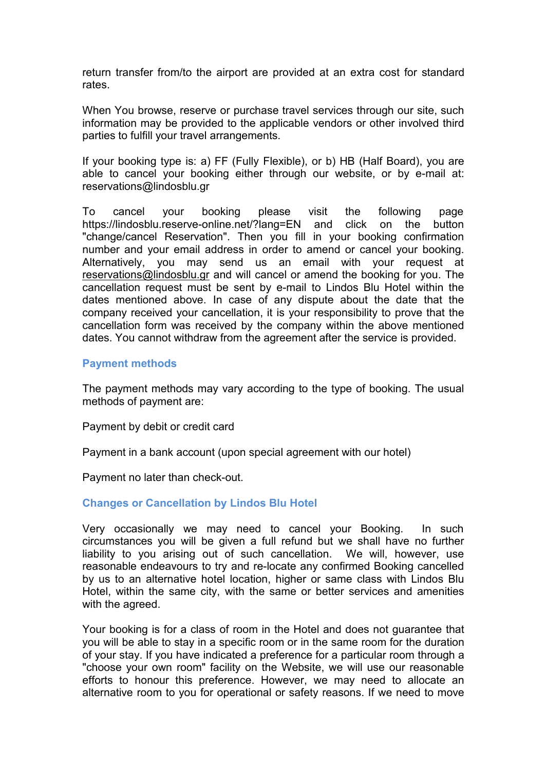return transfer from/to the airport are provided at an extra cost for standard rates.

When You browse, reserve or purchase travel services through our site, such information may be provided to the applicable vendors or other involved third parties to fulfill your travel arrangements.

If your booking type is: a) FF (Fully Flexible), or b) HB (Half Board), you are able to cancel your booking either through our website, or by e-mail at: reservations@lindosblu.gr

To cancel your booking please visit the following page https://lindosblu.reserve-online.net/?lang=EN and click on the button "change/cancel Reservation". Then you fill in your booking confirmation number and your email address in order to amend or cancel your booking. Alternatively, you may send us an email with your request at [reservations@lindosblu.gr](mailto:reservations@lindosblu.gr) and will cancel or amend the booking for you. The cancellation request must be sent by e-mail to Lindos Blu Hotel within the dates mentioned above. In case of any dispute about the date that the company received your cancellation, it is your responsibility to prove that the cancellation form was received by the company within the above mentioned dates. You cannot withdraw from the agreement after the service is provided.

### **Payment methods**

The payment methods may vary according to the type of booking. The usual methods of payment are:

Payment by debit or credit card

Payment in a bank account (upon special agreement with our hotel)

Payment no later than check-out.

#### **Changes or Cancellation by Lindos Blu Hotel**

Very occasionally we may need to cancel your Booking. In such circumstances you will be given a full refund but we shall have no further liability to you arising out of such cancellation. We will, however, use reasonable endeavours to try and re-locate any confirmed Booking cancelled by us to an alternative hotel location, higher or same class with Lindos Blu Hotel, within the same city, with the same or better services and amenities with the agreed.

Your booking is for a class of room in the Hotel and does not guarantee that you will be able to stay in a specific room or in the same room for the duration of your stay. If you have indicated a preference for a particular room through a "choose your own room" facility on the Website, we will use our reasonable efforts to honour this preference. However, we may need to allocate an alternative room to you for operational or safety reasons. If we need to move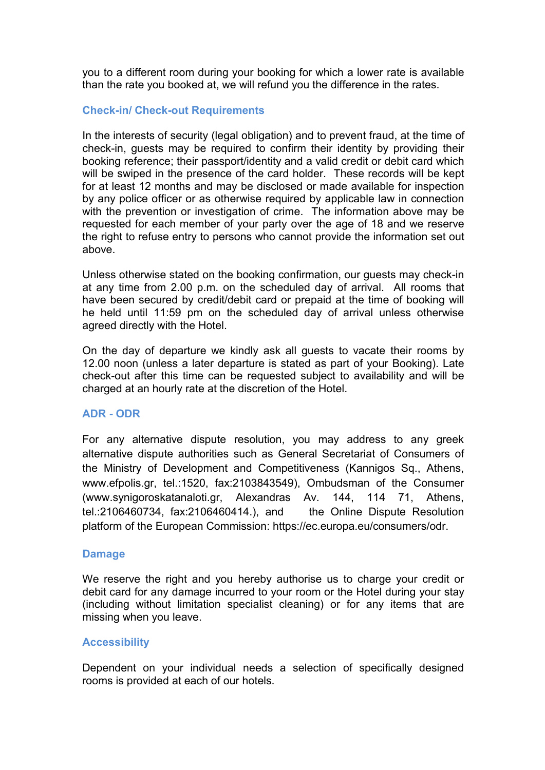you to a different room during your booking for which a lower rate is available than the rate you booked at, we will refund you the difference in the rates.

# **Check-in/ Check-out Requirements**

In the interests of security (legal obligation) and to prevent fraud, at the time of check-in, guests may be required to confirm their identity by providing their booking reference; their passport/identity and a valid credit or debit card which will be swiped in the presence of the card holder. These records will be kept for at least 12 months and may be disclosed or made available for inspection by any police officer or as otherwise required by applicable law in connection with the prevention or investigation of crime. The information above may be requested for each member of your party over the age of 18 and we reserve the right to refuse entry to persons who cannot provide the information set out above.

Unless otherwise stated on the booking confirmation, our guests may check-in at any time from 2.00 p.m. on the scheduled day of arrival. All rooms that have been secured by credit/debit card or prepaid at the time of booking will he held until 11:59 pm on the scheduled day of arrival unless otherwise agreed directly with the Hotel.

On the day of departure we kindly ask all guests to vacate their rooms by 12.00 noon (unless a later departure is stated as part of your Booking). Late check-out after this time can be requested subject to availability and will be charged at an hourly rate at the discretion of the Hotel.

# **ADR - ODR**

For any alternative dispute resolution, you may address to any greek alternative dispute authorities such as General Secretariat of Consumers of the Ministry of Development and Competitiveness (Kannigos Sq., Athens, www.efpolis.gr, tel.:1520, fax:2103843549), Ombudsman of the Consumer (www.synigoroskatanaloti.gr, Alexandras Av. 144, 114 71, Athens, tel.:2106460734, fax:2106460414.), and the Online Dispute Resolution platform of the European Commission: https://ec.europa.eu/consumers/odr.

### **Damage**

We reserve the right and you hereby authorise us to charge your credit or debit card for any damage incurred to your room or the Hotel during your stay (including without limitation specialist cleaning) or for any items that are missing when you leave.

### **Accessibility**

Dependent on your individual needs a selection of specifically designed rooms is provided at each of our hotels.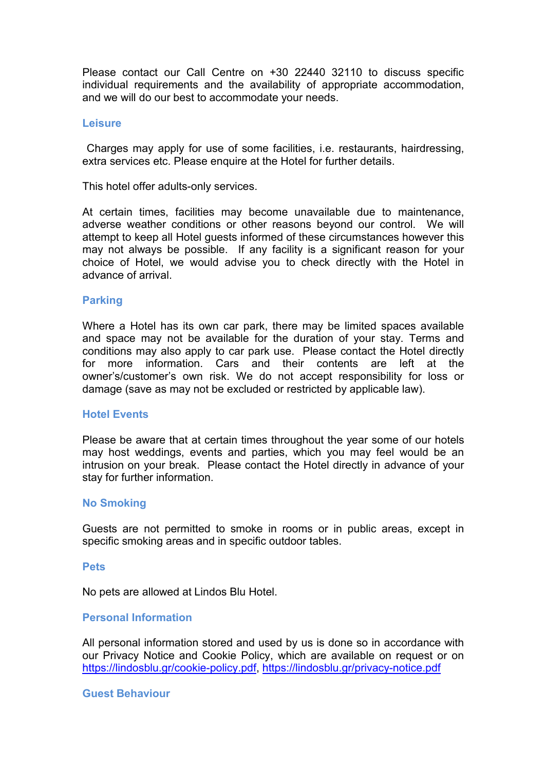Please contact our Call Centre on +30 22440 32110 to discuss specific individual requirements and the availability of appropriate accommodation, and we will do our best to accommodate your needs.

#### **Leisure**

Charges may apply for use of some facilities, i.e. restaurants, hairdressing, extra services etc. Please enquire at the Hotel for further details.

This hotel offer adults-only services.<br>At certain times, facilities may become unavailable due to maintenance, adverse weather conditions or other reasons beyond our control. We will attempt to keep all Hotel guests informed of these circumstances however this may not always be possible. If any facility is a significant reason for your choice of Hotel, we would advise you to check directly with the Hotel in advance of arrival.

### **Parking**

Where a Hotel has its own car park, there may be limited spaces available and space may not be available for the duration of your stay. Terms and conditions may also apply to car park use. Please contact the Hotel directly for more information. Cars and their contents are left at the owner's/customer's own risk. We do not accept responsibility for loss or damage (save as may not be excluded or restricted by applicable law).

#### **Hotel Events**

Please be aware that at certain times throughout the year some of our hotels may host weddings, events and parties, which you may feel would be an intrusion on your break. Please contact the Hotel directly in advance of your stay for further information.

#### **No Smoking**

Guests are not permitted to smoke in rooms or in public areas, except in specific smoking areas and in specific outdoor tables.

#### **Pets**

Νo pets are allowed at Lindos Blu Hotel.

### **Personal Information**

All personal information stored and used by us is done so in accordance with our Privacy Notice and Cookie Policy, which are available on request or on <https://lindosblu.gr/cookie-policy.pdf>, <https://lindosblu.gr/privacy-notice.pdf>

#### **Guest Behaviour**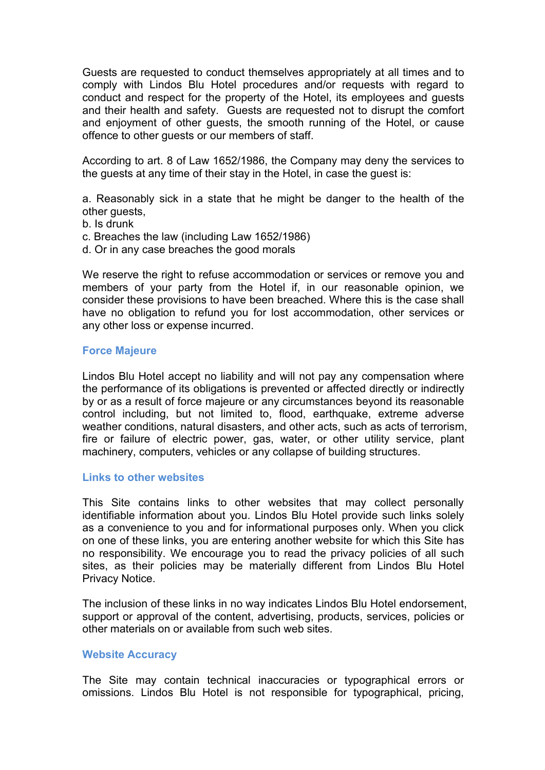Guests are requested to conduct themselves appropriately at all times and to comply with Lindos Blu Hotel procedures and/or requests with regard to conduct and respect for the property of the Hotel, its employees and guests and their health and safety. Guests are requested not to disrupt the comfort and enjoyment of other guests, the smooth running of the Hotel, or cause offence to other guests or our members of staff.

According to art. 8 of Law 1652/1986, the Company may deny the services to the guests at any time of their stay in the Hotel, in case the guest is:

a. Reasonably sick in a state that he might be danger to the health of the other guests,

- b. Is drunk
- c. Breaches the law (including Law 1652/1986)
- d. Or in any case breaches the good morals

We reserve the right to refuse accommodation or services or remove you and members of your party from the Hotel if, in our reasonable opinion, we consider these provisions to have been breached. Where this is the case shall have no obligation to refund you for lost accommodation, other services or any other loss or expense incurred.

### **Force Majeure**

Lindos Blu Hotel accept no liability and will not pay any compensation where the performance of its obligations is prevented or affected directly or indirectly by or as a result of force majeure or any circumstances beyond its reasonable control including, but not limited to, flood, earthquake, extreme adverse weather conditions, natural disasters, and other acts, such as acts of terrorism, fire or failure of electric power, gas, water, or other utility service, plant machinery, computers, vehicles or any collapse of building structures.

## **Links to other websites**

This Site contains links to other websites that may collect personally identifiable information about you. Lindos Blu Hotel provide such links solely as a convenience to you and for informational purposes only. When you click on one of these links, you are entering another website for which this Site has no responsibility. We encourage you to read the privacy policies of all such sites, as their policies may be materially different from Lindos Blu Hotel Privacy Notice.

The inclusion of these links in no way indicates Lindos Blu Hotel endorsement, support or approval of the content, advertising, products, services, policies or other materials on or available from such web sites.

### **Website Accuracy**

The Site may contain technical inaccuracies or typographical errors or omissions. Lindos Blu Hotel is not responsible for typographical, pricing,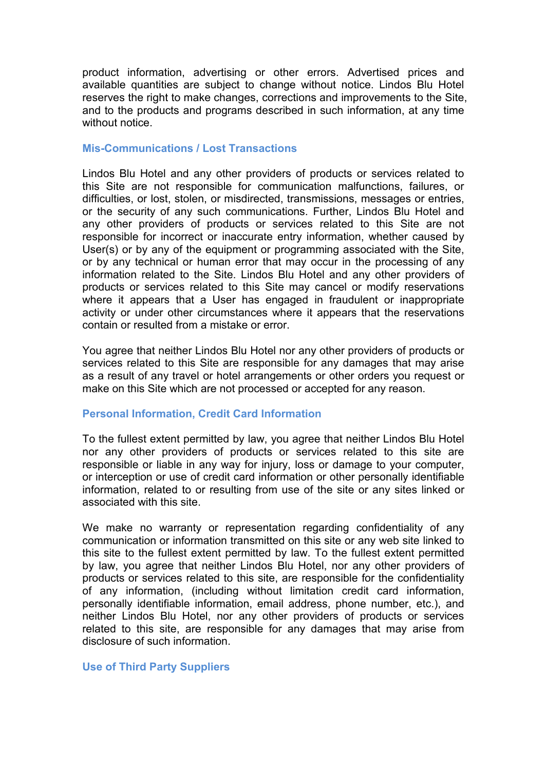product information, advertising or other errors. Advertised prices and available quantities are subject to change without notice. Lindos Blu Hotel reserves the right to make changes, corrections and improvements to the Site, and to the products and programs described in such information, at any time without notice.

## **Mis-Communications / Lost Transactions**

Lindos Blu Hotel and any other providers of products or services related to this Site are not responsible for communication malfunctions, failures, or difficulties, or lost, stolen, or misdirected, transmissions, messages or entries, or the security of any such communications. Further, Lindos Blu Hotel and any other providers of products or services related to this Site are not responsible for incorrect or inaccurate entry information, whether caused by User(s) or by any of the equipment or programming associated with the Site, or by any technical or human error that may occur in the processing of any information related to the Site. Lindos Blu Hotel and any other providers of products or services related to this Site may cancel or modify reservations where it appears that a User has engaged in fraudulent or inappropriate activity or under other circumstances where it appears that the reservations contain or resulted from a mistake or error.

You agree that neither Lindos Blu Hotel nor any other providers of products or services related to this Site are responsible for any damages that may arise as a result of any travel or hotel arrangements or other orders you request or make on this Site which are not processed or accepted for any reason.

# **Personal Information, Credit Card Information**

To the fullest extent permitted by law, you agree that neither Lindos Blu Hotel nor any other providers of products or services related to this site are responsible or liable in any way for injury, loss or damage to your computer, or interception or use of credit card information or other personally identifiable information, related to or resulting from use of the site or any sites linked or associated with this site.

We make no warranty or representation regarding confidentiality of any communication or information transmitted on this site or any web site linked to this site to the fullest extent permitted by law. To the fullest extent permitted by law, you agree that neither Lindos Blu Hotel, nor any other providers of products or services related to this site, are responsible for the confidentiality of any information, (including without limitation credit card information, personally identifiable information, email address, phone number, etc.), and neither Lindos Blu Hotel, nor any other providers of products or services related to this site, are responsible for any damages that may arise from disclosure of such information.

## **Use of Third Party Suppliers**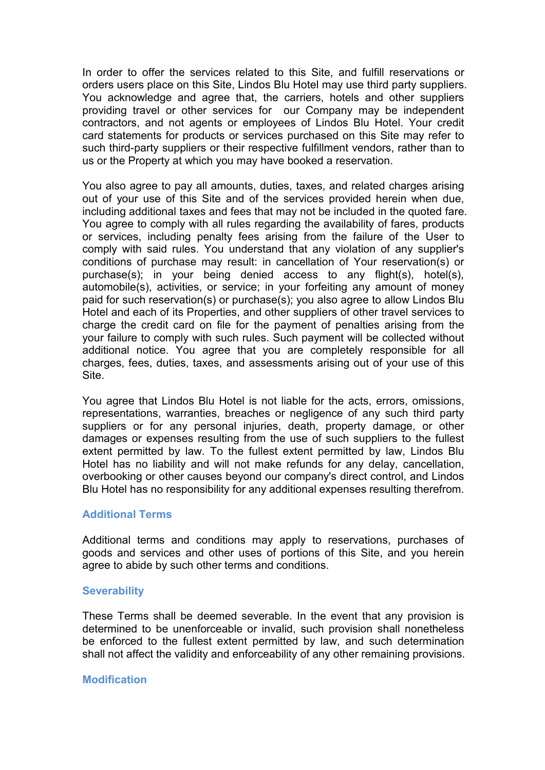In order to offer the services related to this Site, and fulfill reservations or orders users place on this Site, Lindos Blu Hotel may use third party suppliers. You acknowledge and agree that, the carriers, hotels and other suppliers providing travel or other services for our Company may be independent contractors, and not agents or employees of Lindos Blu Hotel. Your credit card statements for products or services purchased on this Site may refer to such third-party suppliers or their respective fulfillment vendors, rather than to us or the Property at which you may have booked a reservation.

You also agree to pay all amounts, duties, taxes, and related charges arising out of your use of this Site and of the services provided herein when due, including additional taxes and fees that may not be included in the quoted fare. You agree to comply with all rules regarding the availability of fares, products or services, including penalty fees arising from the failure of the User to comply with said rules. You understand that any violation of any supplier's conditions of purchase may result: in cancellation of Your reservation(s) or purchase(s); in your being denied access to any flight(s), hotel(s), automobile(s), activities, or service; in your forfeiting any amount of money paid for such reservation(s) or purchase(s); you also agree to allow Lindos Blu Hotel and each of its Properties, and other suppliers of other travel services to charge the credit card on file for the payment of penalties arising from the your failure to comply with such rules. Such payment will be collected without additional notice. You agree that you are completely responsible for all charges, fees, duties, taxes, and assessments arising out of your use of this Site.

You agree that Lindos Blu Hotel is not liable for the acts, errors, omissions, representations, warranties, breaches or negligence of any such third party suppliers or for any personal injuries, death, property damage, or other damages or expenses resulting from the use of such suppliers to the fullest extent permitted by law. To the fullest extent permitted by law, Lindos Blu Hotel has no liability and will not make refunds for any delay, cancellation, overbooking or other causes beyond our company's direct control, and Lindos Blu Hotel has no responsibility for any additional expenses resulting therefrom.

### **Additional Terms**

Additional terms and conditions may apply to reservations, purchases of goods and services and other uses of portions of this Site, and you herein agree to abide by such other terms and conditions.

#### **Severability**

These Terms shall be deemed severable. In the event that any provision is determined to be unenforceable or invalid, such provision shall nonetheless be enforced to the fullest extent permitted by law, and such determination shall not affect the validity and enforceability of any other remaining provisions.

#### **Modification**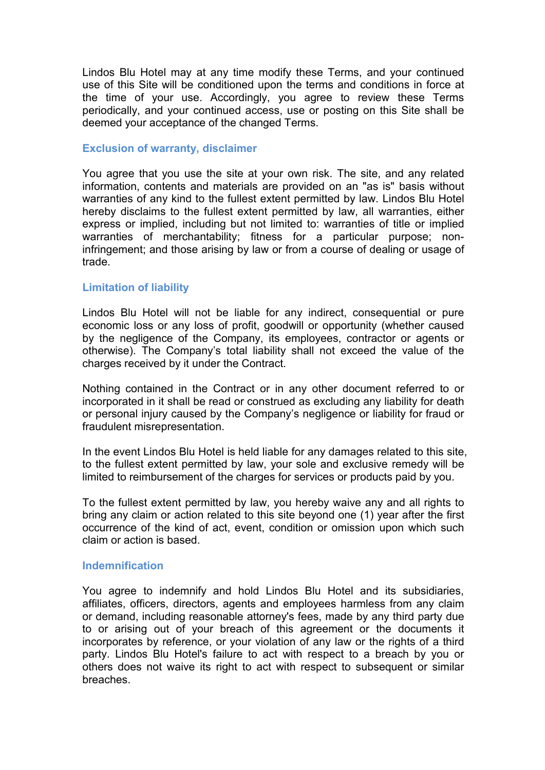Lindos Blu Hotel may at any time modify these Terms, and your continued use of this Site will be conditioned upon the terms and conditions in force at the time of your use. Accordingly, you agree to review these Terms periodically, and your continued access, use or posting on this Site shall be deemed your acceptance of the changed Terms.

### **Exclusion of warranty, disclaimer**

You agree that you use the site at your own risk. The site, and any related information, contents and materials are provided on an "as is" basis without warranties of any kind to the fullest extent permitted by law. Lindos Blu Hotel hereby disclaims to the fullest extent permitted by law, all warranties, either express or implied, including but not limited to: warranties of title or implied warranties of merchantability; fitness for a particular purpose; noninfringement; and those arising by law or from a course of dealing or usage of trade.

## **Limitation of liability**

Lindos Blu Hotel will not be liable for any indirect, consequential or pure economic loss or any loss of profit, goodwill or opportunity (whether caused by the negligence of the Company, its employees, contractor or agents or otherwise). The Company's total liability shall not exceed the value of the charges received by it under the Contract.

Nothing contained in the Contract or in any other document referred to or incorporated in it shall be read or construed as excluding any liability for death or personal injury caused by the Company's negligence or liability for fraud or fraudulent misrepresentation.

In the event Lindos Blu Hotel is held liable for any damages related to this site, to the fullest extent permitted by law, your sole and exclusive remedy will be limited to reimbursement of the charges for services or products paid by you.

To the fullest extent permitted by law, you hereby waive any and all rights to bring any claim or action related to this site beyond one (1) year after the first occurrence of the kind of act, event, condition or omission upon which such claim or action is based.

### **Indemnification**

You agree to indemnify and hold Lindos Blu Hotel and its subsidiaries, affiliates, officers, directors, agents and employees harmless from any claim or demand, including reasonable attorney's fees, made by any third party due to or arising out of your breach of this agreement or the documents it incorporates by reference, or your violation of any law or the rights of a third party. Lindos Blu Hotel's failure to act with respect to a breach by you or others does not waive its right to act with respect to subsequent or similar breaches.